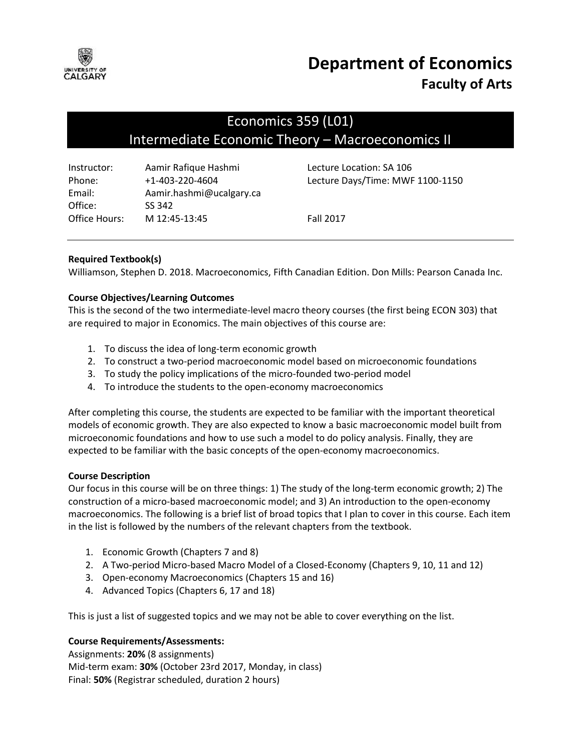

# **Department of Economics Faculty of Arts**

# Economics 359 (L01) Intermediate Economic Theory – Macroeconomics II

| Instructor:   | Aamir Rafique Hashmi     |
|---------------|--------------------------|
| Phone:        | $+1 - 403 - 220 - 4604$  |
| Email:        | Aamir.hashmi@ucalgary.ca |
| Office:       | SS 342                   |
| Office Hours: | M 12:45-13:45            |

Lecture Location: SA 106 Lecture Days/Time: MWF 1100-1150

Fall 2017

# **Required Textbook(s)**

Williamson, Stephen D. 2018. Macroeconomics, Fifth Canadian Edition. Don Mills: Pearson Canada Inc.

# **Course Objectives/Learning Outcomes**

This is the second of the two intermediate-level macro theory courses (the first being ECON 303) that are required to major in Economics. The main objectives of this course are:

- 1. To discuss the idea of long-term economic growth
- 2. To construct a two-period macroeconomic model based on microeconomic foundations
- 3. To study the policy implications of the micro-founded two-period model
- 4. To introduce the students to the open-economy macroeconomics

After completing this course, the students are expected to be familiar with the important theoretical models of economic growth. They are also expected to know a basic macroeconomic model built from microeconomic foundations and how to use such a model to do policy analysis. Finally, they are expected to be familiar with the basic concepts of the open-economy macroeconomics.

# **Course Description**

Our focus in this course will be on three things: 1) The study of the long-term economic growth; 2) The construction of a micro-based macroeconomic model; and 3) An introduction to the open-economy macroeconomics. The following is a brief list of broad topics that I plan to cover in this course. Each item in the list is followed by the numbers of the relevant chapters from the textbook.

- 1. Economic Growth (Chapters 7 and 8)
- 2. A Two-period Micro-based Macro Model of a Closed-Economy (Chapters 9, 10, 11 and 12)
- 3. Open-economy Macroeconomics (Chapters 15 and 16)
- 4. Advanced Topics (Chapters 6, 17 and 18)

This is just a list of suggested topics and we may not be able to cover everything on the list.

# **Course Requirements/Assessments:**

Assignments: **20%** (8 assignments) Mid-term exam: **30%** (October 23rd 2017, Monday, in class) Final: **50%** (Registrar scheduled, duration 2 hours)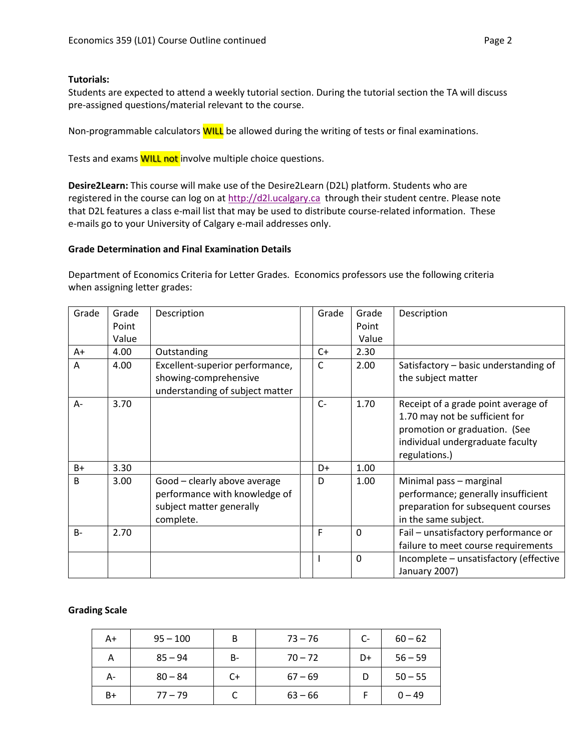#### **Tutorials:**

Students are expected to attend a weekly tutorial section. During the tutorial section the TA will discuss pre-assigned questions/material relevant to the course.

Non-programmable calculators **WILL** be allowed during the writing of tests or final examinations.

Tests and exams **WILL not** involve multiple choice questions.

**Desire2Learn:** This course will make use of the Desire2Learn (D2L) platform. Students who are registered in the course can log on at [http://d2l.ucalgary.ca](http://d2l.ucalgary.ca/) through their student centre. Please note that D2L features a class e-mail list that may be used to distribute course-related information. These e-mails go to your University of Calgary e-mail addresses only.

#### **Grade Determination and Final Examination Details**

Department of Economics Criteria for Letter Grades. Economics professors use the following criteria when assigning letter grades:

| Grade        | Grade<br>Point<br>Value | Description                                                                                            | Grade        | Grade<br>Point<br>Value | Description                                                                                                                                                 |
|--------------|-------------------------|--------------------------------------------------------------------------------------------------------|--------------|-------------------------|-------------------------------------------------------------------------------------------------------------------------------------------------------------|
| A+           | 4.00                    | Outstanding                                                                                            | $C+$         | 2.30                    |                                                                                                                                                             |
| A            | 4.00                    | Excellent-superior performance,<br>showing-comprehensive<br>understanding of subject matter            | C            | 2.00                    | Satisfactory - basic understanding of<br>the subject matter                                                                                                 |
| A-           | 3.70                    |                                                                                                        | $C-$         | 1.70                    | Receipt of a grade point average of<br>1.70 may not be sufficient for<br>promotion or graduation. (See<br>individual undergraduate faculty<br>regulations.) |
| B+           | 3.30                    |                                                                                                        | D+           | 1.00                    |                                                                                                                                                             |
| <sub>B</sub> | 3.00                    | Good - clearly above average<br>performance with knowledge of<br>subject matter generally<br>complete. | D            | 1.00                    | Minimal pass - marginal<br>performance; generally insufficient<br>preparation for subsequent courses<br>in the same subject.                                |
| $B -$        | 2.70                    |                                                                                                        | F            | $\mathbf 0$             | Fail - unsatisfactory performance or<br>failure to meet course requirements                                                                                 |
|              |                         |                                                                                                        | $\mathbf{I}$ | $\Omega$                | Incomplete - unsatisfactory (effective<br>January 2007)                                                                                                     |

# **Grading Scale**

| A+   | $95 - 100$ | B  | $73 - 76$ | $C-$ | $60 - 62$ |
|------|------------|----|-----------|------|-----------|
| А    | $85 - 94$  | B- | $70 - 72$ | D+   | $56 - 59$ |
| А-   | $80 - 84$  | C+ | $67 - 69$ |      | $50 - 55$ |
| $B+$ | $77 - 79$  |    | $63 - 66$ |      | $0 - 49$  |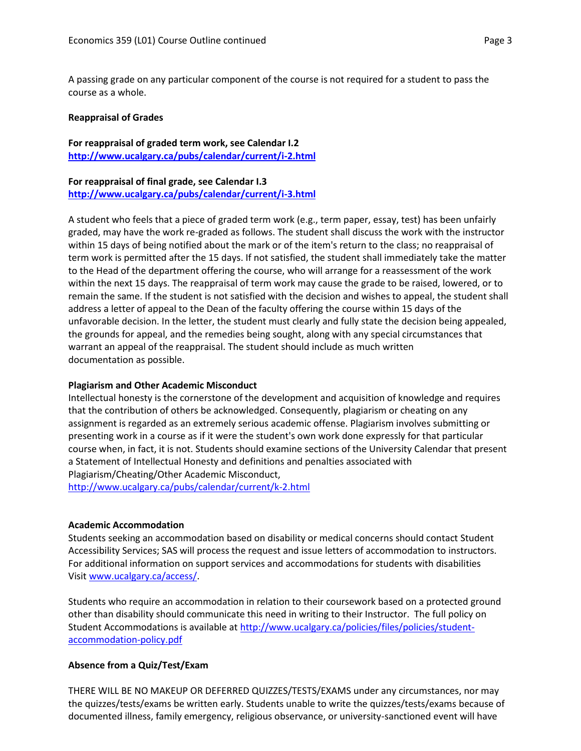A passing grade on any particular component of the course is not required for a student to pass the course as a whole.

#### **Reappraisal of Grades**

**For reappraisal of graded term work, see Calendar I.2 <http://www.ucalgary.ca/pubs/calendar/current/i-2.html>**

#### **For reappraisal of final grade, see Calendar I.3 <http://www.ucalgary.ca/pubs/calendar/current/i-3.html>**

A student who feels that a piece of graded term work (e.g., term paper, essay, test) has been unfairly graded, may have the work re-graded as follows. The student shall discuss the work with the instructor within 15 days of being notified about the mark or of the item's return to the class; no reappraisal of term work is permitted after the 15 days. If not satisfied, the student shall immediately take the matter to the Head of the department offering the course, who will arrange for a reassessment of the work within the next 15 days. The reappraisal of term work may cause the grade to be raised, lowered, or to remain the same. If the student is not satisfied with the decision and wishes to appeal, the student shall address a letter of appeal to the Dean of the faculty offering the course within 15 days of the unfavorable decision. In the letter, the student must clearly and fully state the decision being appealed, the grounds for appeal, and the remedies being sought, along with any special circumstances that warrant an appeal of the reappraisal. The student should include as much written documentation as possible.

# **Plagiarism and Other Academic Misconduct**

Intellectual honesty is the cornerstone of the development and acquisition of knowledge and requires that the contribution of others be acknowledged. Consequently, plagiarism or cheating on any assignment is regarded as an extremely serious academic offense. Plagiarism involves submitting or presenting work in a course as if it were the student's own work done expressly for that particular course when, in fact, it is not. Students should examine sections of the University Calendar that present a Statement of Intellectual Honesty and definitions and penalties associated with Plagiarism/Cheating/Other Academic Misconduct, <http://www.ucalgary.ca/pubs/calendar/current/k-2.html>

#### **Academic Accommodation**

Students seeking an accommodation based on disability or medical concerns should contact Student Accessibility Services; SAS will process the request and issue letters of accommodation to instructors. For additional information on support services and accommodations for students with disabilities Visit [www.ucalgary.ca/access/.](http://www.ucalgary.ca/access/)

Students who require an accommodation in relation to their coursework based on a protected ground other than disability should communicate this need in writing to their Instructor. The full policy on Student Accommodations is available at [http://www.ucalgary.ca/policies/files/policies/student](http://www.ucalgary.ca/policies/files/policies/student-accommodation-policy.pdf)[accommodation-policy.pdf](http://www.ucalgary.ca/policies/files/policies/student-accommodation-policy.pdf)

# **Absence from a Quiz/Test/Exam**

THERE WILL BE NO MAKEUP OR DEFERRED QUIZZES/TESTS/EXAMS under any circumstances, nor may the quizzes/tests/exams be written early. Students unable to write the quizzes/tests/exams because of documented illness, family emergency, religious observance, or university-sanctioned event will have